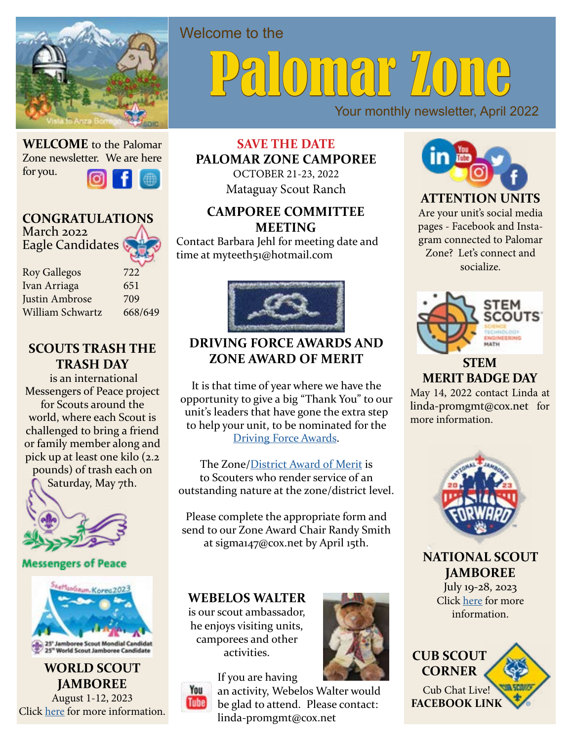

**WELCOME** to the Palomar Zone newsletter. We are here

for you.

#### **CONGRATULATIONS**

March 2022 Eagle Candidates

Roy Gallegos 722 Ivan Arriaga 651 Justin Ambrose 709 William Schwartz 668/649

#### **SCOUTS TRASH THE TRASH DAY**

 is an international Messengers of Peace project for Scouts around the world, where each Scout is challenged to bring a friend or family member along and pick up at least one kilo (2.2 pounds) of trash each on

Saturday, May 7th.



**Messengers of Peace** 



**WORLD SCOUT JAMBOREE** August 1-12, 2023 Click here for more information.

**SAVE THE DATE PALOMAR ZONE CAMPOREE** OCTOBER 21-23, 2022

Welcome to the

Mataguay Scout Ranch

#### **CAMPOREE COMMITTEE MEETING**

Contact Barbara Jehl for meeting date and time at myteeth51@hotmail.com



#### **DRIVING FORCE AWARDS AND ZONE AWARD OF MERIT**

It is that time of year where we have the opportunity to give a big "Thank You" to our unit's leaders that have gone the extra step to help your unit, to be nominated for the [Driving Force Awards.](https://palomar.sdicbsa.org/)

The Zone/[District Award of Merit](https://palomar.sdicbsa.org/) is to Scouters who render service of an outstanding nature at the zone/district level.

Please complete the appropriate form and send to our Zone Award Chair Randy Smith at sigma147@cox.net by April 15th.

#### **WEBELOS WALTER**

is our scout ambassador, he enjoys visiting units, camporees and other activities.



If you are having an activity, Webelos Walter would be glad to attend. Please contact: linda-promgmt@cox.net



Your monthly newsletter, April 2022

Omar Zone

#### **ATTENTION UNITS** Are your unit's social media pages - Facebook and Instagram connected to Palomar Zone? Let's connect and socialize.



#### **STEM MERIT BADGE DAY**

May 14, 2022 contact Linda at linda-promgmt@cox.net for more information.



**NATIONAL SCOUT JAMBOREE**

July 19-28, 2023 Click here for more information.



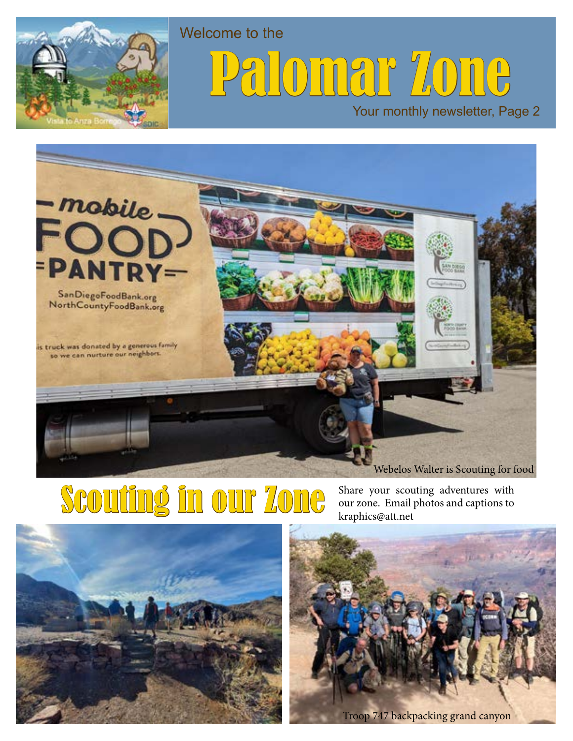

# Welcome to the Palomar Zone

#### Your monthly newsletter, Page 2



## SCOUTING IN OUT ZONE Share your scouting adventures with<br>sur zone. Email photos and captions to

our zone. Email photos and captions to kraphics@att.net